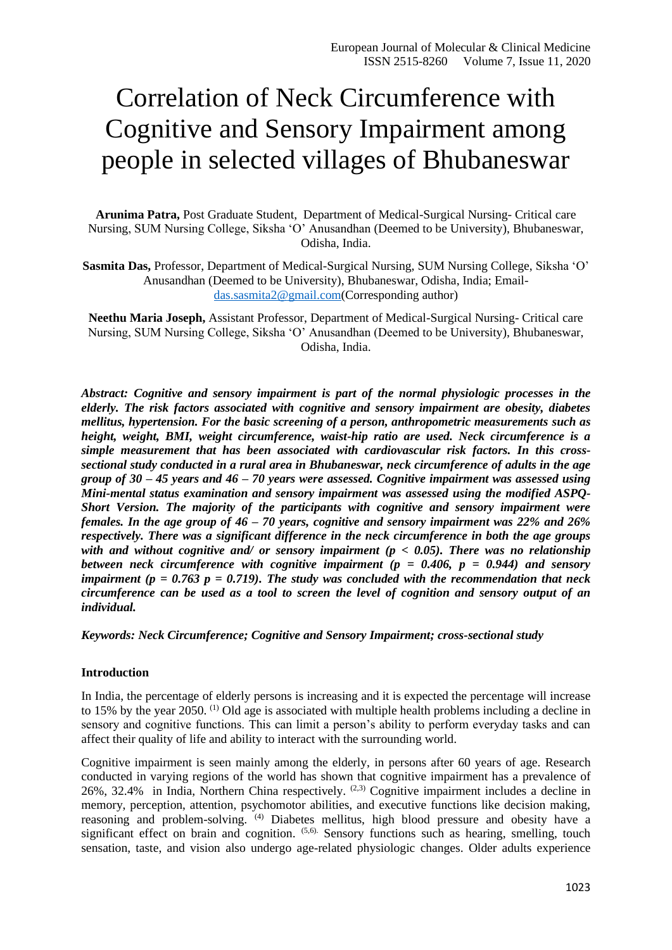# Correlation of Neck Circumference with Cognitive and Sensory Impairment among people in selected villages of Bhubaneswar

**Arunima Patra,** Post Graduate Student, Department of Medical-Surgical Nursing- Critical care Nursing, SUM Nursing College, Siksha 'O' Anusandhan (Deemed to be University), Bhubaneswar, Odisha, India.

**Sasmita Das,** Professor, Department of Medical-Surgical Nursing, SUM Nursing College, Siksha 'O' Anusandhan (Deemed to be University), Bhubaneswar, Odisha, India; Email[das.sasmita2@gmail.com\(](mailto:das.sasmita2@gmail.com)Corresponding author)

**Neethu Maria Joseph,** Assistant Professor, Department of Medical-Surgical Nursing- Critical care Nursing, SUM Nursing College, Siksha 'O' Anusandhan (Deemed to be University), Bhubaneswar, Odisha, India.

*Abstract: Cognitive and sensory impairment is part of the normal physiologic processes in the elderly. The risk factors associated with cognitive and sensory impairment are obesity, diabetes mellitus, hypertension. For the basic screening of a person, anthropometric measurements such as height, weight, BMI, weight circumference, waist-hip ratio are used. Neck circumference is a simple measurement that has been associated with cardiovascular risk factors. In this crosssectional study conducted in a rural area in Bhubaneswar, neck circumference of adults in the age group of 30 – 45 years and 46 – 70 years were assessed. Cognitive impairment was assessed using Mini-mental status examination and sensory impairment was assessed using the modified ASPQ-Short Version. The majority of the participants with cognitive and sensory impairment were females. In the age group of 46 – 70 years, cognitive and sensory impairment was 22% and 26% respectively. There was a significant difference in the neck circumference in both the age groups with and without cognitive and/ or sensory impairment (p < 0.05). There was no relationship between neck circumference with cognitive impairment (p = 0.406, p = 0.944) and sensory impairment (p = 0.763 p = 0.719). The study was concluded with the recommendation that neck circumference can be used as a tool to screen the level of cognition and sensory output of an individual.*

*Keywords: Neck Circumference; Cognitive and Sensory Impairment; cross-sectional study*

#### **Introduction**

In India, the percentage of elderly persons is increasing and it is expected the percentage will increase to 15% by the year 2050. (1) Old age is associated with multiple health problems including a decline in sensory and cognitive functions. This can limit a person's ability to perform everyday tasks and can affect their quality of life and ability to interact with the surrounding world.

Cognitive impairment is seen mainly among the elderly, in persons after 60 years of age. Research conducted in varying regions of the world has shown that cognitive impairment has a prevalence of 26%, 32.4% in India, Northern China respectively.  $(2,3)$  Cognitive impairment includes a decline in memory, perception, attention, psychomotor abilities, and executive functions like decision making, reasoning and problem-solving. (4) Diabetes mellitus, high blood pressure and obesity have a significant effect on brain and cognition. <sup>(5,6)</sup>. Sensory functions such as hearing, smelling, touch sensation, taste, and vision also undergo age-related physiologic changes. Older adults experience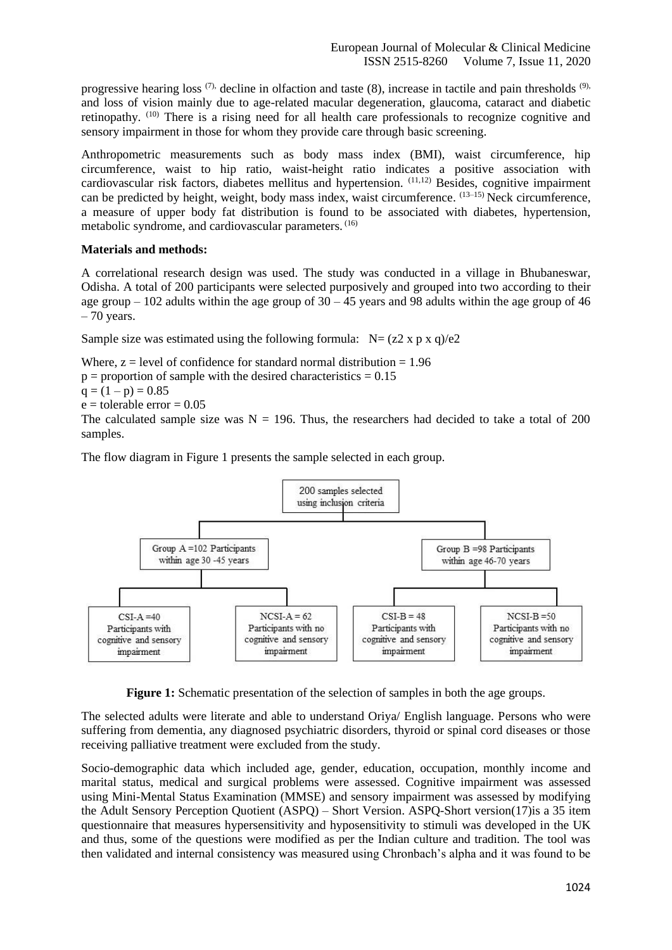progressive hearing loss  $(7)$ , decline in olfaction and taste  $(8)$ , increase in tactile and pain thresholds  $(9)$ , and loss of vision mainly due to age-related macular degeneration, glaucoma, cataract and diabetic retinopathy. (10) There is a rising need for all health care professionals to recognize cognitive and sensory impairment in those for whom they provide care through basic screening.

Anthropometric measurements such as body mass index (BMI), waist circumference, hip circumference, waist to hip ratio, waist-height ratio indicates a positive association with cardiovascular risk factors, diabetes mellitus and hypertension. (11,12) Besides, cognitive impairment can be predicted by height, weight, body mass index, waist circumference. <sup>(13-15)</sup> Neck circumference, a measure of upper body fat distribution is found to be associated with diabetes, hypertension, metabolic syndrome, and cardiovascular parameters. (16)

## **Materials and methods:**

A correlational research design was used. The study was conducted in a village in Bhubaneswar, Odisha. A total of 200 participants were selected purposively and grouped into two according to their age group – 102 adults within the age group of  $30 - 45$  years and 98 adults within the age group of 46  $-70$  years.

Sample size was estimated using the following formula:  $N = (z2 \times p \times q)/e2$ 

Where,  $z = level$  of confidence for standard normal distribution  $z = 1.96$ 

 $p =$  proportion of sample with the desired characteristics  $= 0.15$ 

 $q = (1 - p) = 0.85$ 

 $e =$  tolerable error = 0.05

The calculated sample size was  $N = 196$ . Thus, the researchers had decided to take a total of 200 samples.

The flow diagram in Figure 1 presents the sample selected in each group.



**Figure 1:** Schematic presentation of the selection of samples in both the age groups.

The selected adults were literate and able to understand Oriya/ English language. Persons who were suffering from dementia, any diagnosed psychiatric disorders, thyroid or spinal cord diseases or those receiving palliative treatment were excluded from the study.

Socio-demographic data which included age, gender, education, occupation, monthly income and marital status, medical and surgical problems were assessed. Cognitive impairment was assessed using Mini-Mental Status Examination (MMSE) and sensory impairment was assessed by modifying the Adult Sensory Perception Quotient (ASPQ) – Short Version. ASPQ-Short version(17)is a 35 item questionnaire that measures hypersensitivity and hyposensitivity to stimuli was developed in the UK and thus, some of the questions were modified as per the Indian culture and tradition. The tool was then validated and internal consistency was measured using Chronbach's alpha and it was found to be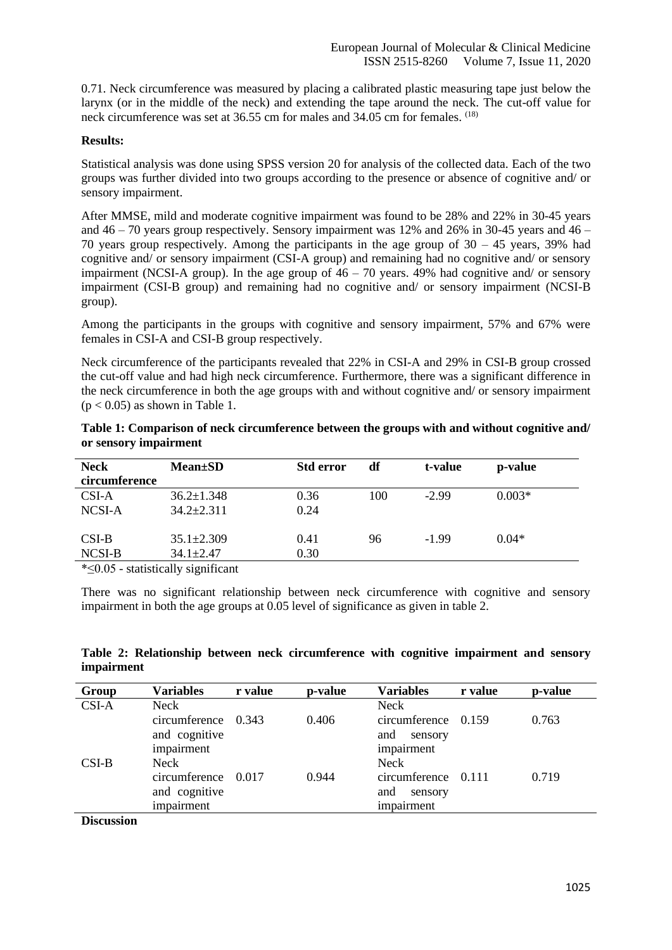0.71. Neck circumference was measured by placing a calibrated plastic measuring tape just below the larynx (or in the middle of the neck) and extending the tape around the neck. The cut-off value for neck circumference was set at 36.55 cm for males and 34.05 cm for females. (18)

### **Results:**

Statistical analysis was done using SPSS version 20 for analysis of the collected data. Each of the two groups was further divided into two groups according to the presence or absence of cognitive and/ or sensory impairment.

After MMSE, mild and moderate cognitive impairment was found to be 28% and 22% in 30-45 years and  $46 - 70$  years group respectively. Sensory impairment was 12% and 26% in 30-45 years and  $46 -$ 70 years group respectively. Among the participants in the age group of  $30 - 45$  years, 39% had cognitive and/ or sensory impairment (CSI-A group) and remaining had no cognitive and/ or sensory impairment (NCSI-A group). In the age group of  $46 - 70$  years. 49% had cognitive and/ or sensory impairment (CSI-B group) and remaining had no cognitive and/ or sensory impairment (NCSI-B group).

Among the participants in the groups with cognitive and sensory impairment, 57% and 67% were females in CSI-A and CSI-B group respectively.

Neck circumference of the participants revealed that 22% in CSI-A and 29% in CSI-B group crossed the cut-off value and had high neck circumference. Furthermore, there was a significant difference in the neck circumference in both the age groups with and without cognitive and/ or sensory impairment  $(p < 0.05)$  as shown in Table 1.

| Table 1: Comparison of neck circumference between the groups with and without cognitive and/ |  |  |
|----------------------------------------------------------------------------------------------|--|--|
| or sensory impairment                                                                        |  |  |

| <b>Neck</b><br>circumference                      | $Mean \pm SD$    | <b>Std error</b> | df  | t-value | p-value  |  |
|---------------------------------------------------|------------------|------------------|-----|---------|----------|--|
|                                                   |                  |                  |     |         |          |  |
| CSI-A                                             | $36.2 \pm 1.348$ | 0.36             | 100 | $-2.99$ | $0.003*$ |  |
| NCSI-A                                            | $34.2 \pm 2.311$ | 0.24             |     |         |          |  |
|                                                   |                  |                  |     |         |          |  |
| $CSI-B$                                           | $35.1 \pm 2.309$ | 0.41             | 96  | $-1.99$ | $0.04*$  |  |
| NCSI-B                                            | $34.1 \pm 2.47$  | 0.30             |     |         |          |  |
| $\ast$ $\leq$ 0.6 $\pm$ etatictically eignificant |                  |                  |     |         |          |  |

\*≤0.05 - statistically significant

There was no significant relationship between neck circumference with cognitive and sensory impairment in both the age groups at 0.05 level of significance as given in table 2.

**Table 2: Relationship between neck circumference with cognitive impairment and sensory impairment** 

| Group        | <b>Variables</b>    | r value | p-value | <b>Variables</b>    | r value | p-value |
|--------------|---------------------|---------|---------|---------------------|---------|---------|
| $CSI-A$      | Neck                |         |         | Neck                |         |         |
|              | circumference 0.343 |         | 0.406   | circumference 0.159 |         | 0.763   |
|              | and cognitive       |         |         | and<br>sensory      |         |         |
|              | impairment          |         |         | impairment          |         |         |
| $CSI-B$      | Neck                |         |         | Neck                |         |         |
|              | circumference 0.017 |         | 0.944   | circumference 0.111 |         | 0.719   |
|              | and cognitive       |         |         | and<br>sensory      |         |         |
|              | impairment          |         |         | impairment          |         |         |
| $\mathbf{r}$ |                     |         |         |                     |         |         |

**Discussion**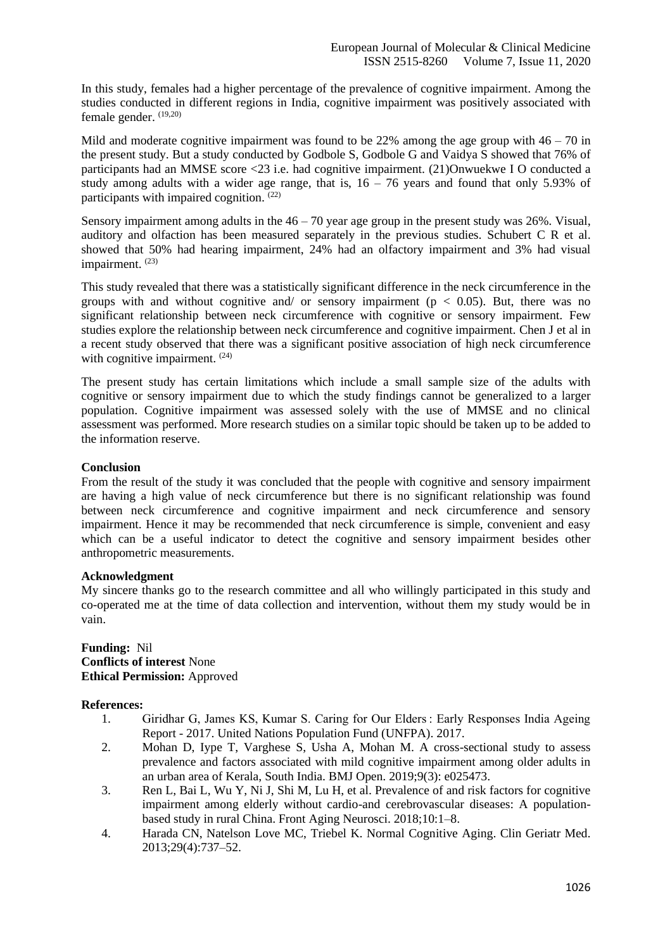In this study, females had a higher percentage of the prevalence of cognitive impairment. Among the studies conducted in different regions in India, cognitive impairment was positively associated with female gender. (19,20)

Mild and moderate cognitive impairment was found to be 22% among the age group with  $46 - 70$  in the present study. But a study conducted by Godbole S, Godbole G and Vaidya S showed that 76% of participants had an MMSE score <23 i.e. had cognitive impairment. (21)Onwuekwe I O conducted a study among adults with a wider age range, that is,  $16 - 76$  years and found that only 5.93% of participants with impaired cognition.<sup>(22)</sup>

Sensory impairment among adults in the  $46 - 70$  year age group in the present study was 26%. Visual, auditory and olfaction has been measured separately in the previous studies. Schubert C R et al. showed that 50% had hearing impairment, 24% had an olfactory impairment and 3% had visual impairment.<sup>(23)</sup>

This study revealed that there was a statistically significant difference in the neck circumference in the groups with and without cognitive and/ or sensory impairment ( $p < 0.05$ ). But, there was no significant relationship between neck circumference with cognitive or sensory impairment. Few studies explore the relationship between neck circumference and cognitive impairment. Chen J et al in a recent study observed that there was a significant positive association of high neck circumference with cognitive impairment. <sup>(24)</sup>

The present study has certain limitations which include a small sample size of the adults with cognitive or sensory impairment due to which the study findings cannot be generalized to a larger population. Cognitive impairment was assessed solely with the use of MMSE and no clinical assessment was performed. More research studies on a similar topic should be taken up to be added to the information reserve.

## **Conclusion**

From the result of the study it was concluded that the people with cognitive and sensory impairment are having a high value of neck circumference but there is no significant relationship was found between neck circumference and cognitive impairment and neck circumference and sensory impairment. Hence it may be recommended that neck circumference is simple, convenient and easy which can be a useful indicator to detect the cognitive and sensory impairment besides other anthropometric measurements.

#### **Acknowledgment**

My sincere thanks go to the research committee and all who willingly participated in this study and co-operated me at the time of data collection and intervention, without them my study would be in vain.

#### **Funding:** Nil **Conflicts of interest** None **Ethical Permission:** Approved

## **References:**

- 1. Giridhar G, James KS, Kumar S. Caring for Our Elders : Early Responses India Ageing Report - 2017. United Nations Population Fund (UNFPA). 2017.
- 2. Mohan D, Iype T, Varghese S, Usha A, Mohan M. A cross-sectional study to assess prevalence and factors associated with mild cognitive impairment among older adults in an urban area of Kerala, South India. BMJ Open. 2019;9(3): e025473.
- 3. Ren L, Bai L, Wu Y, Ni J, Shi M, Lu H, et al. Prevalence of and risk factors for cognitive impairment among elderly without cardio-and cerebrovascular diseases: A populationbased study in rural China. Front Aging Neurosci. 2018;10:1–8.
- 4. Harada CN, Natelson Love MC, Triebel K. Normal Cognitive Aging. Clin Geriatr Med. 2013;29(4):737–52.